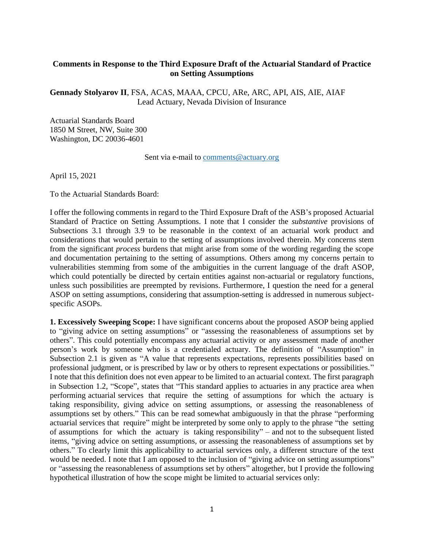## **Comments in Response to the Third Exposure Draft of the Actuarial Standard of Practice on Setting Assumptions**

**Gennady Stolyarov II**, FSA, ACAS, MAAA, CPCU, ARe, ARC, API, AIS, AIE, AIAF Lead Actuary, Nevada Division of Insurance

Actuarial Standards Board 1850 M Street, NW, Suite 300 Washington, DC 20036-4601

Sent via e-mail to [comments@actuary.org](mailto:comments@actuary.org)

April 15, 2021

To the Actuarial Standards Board:

I offer the following comments in regard to the Third Exposure Draft of the ASB's proposed Actuarial Standard of Practice on Setting Assumptions. I note that I consider the *substantive* provisions of Subsections 3.1 through 3.9 to be reasonable in the context of an actuarial work product and considerations that would pertain to the setting of assumptions involved therein. My concerns stem from the significant *process* burdens that might arise from some of the wording regarding the scope and documentation pertaining to the setting of assumptions. Others among my concerns pertain to vulnerabilities stemming from some of the ambiguities in the current language of the draft ASOP, which could potentially be directed by certain entities against non-actuarial or regulatory functions, unless such possibilities are preempted by revisions. Furthermore, I question the need for a general ASOP on setting assumptions, considering that assumption-setting is addressed in numerous subjectspecific ASOPs.

**1. Excessively Sweeping Scope:** I have significant concerns about the proposed ASOP being applied to "giving advice on setting assumptions" or "assessing the reasonableness of assumptions set by others". This could potentially encompass any actuarial activity or any assessment made of another person's work by someone who is a credentialed actuary. The definition of "Assumption" in Subsection 2.1 is given as "A value that represents expectations, represents possibilities based on professional judgment, or is prescribed by law or by others to represent expectations or possibilities." I note that this definition does not even appear to be limited to an actuarial context. The first paragraph in Subsection 1.2, "Scope", states that "This standard applies to actuaries in any practice area when performing actuarial services that require the setting of assumptions for which the actuary is taking responsibility, giving advice on setting assumptions, or assessing the reasonableness of assumptions set by others." This can be read somewhat ambiguously in that the phrase "performing actuarial services that require" might be interpreted by some only to apply to the phrase "the setting of assumptions for which the actuary is taking responsibility" – and not to the subsequent listed items, "giving advice on setting assumptions, or assessing the reasonableness of assumptions set by others." To clearly limit this applicability to actuarial services only, a different structure of the text would be needed. I note that I am opposed to the inclusion of "giving advice on setting assumptions" or "assessing the reasonableness of assumptions set by others" altogether, but I provide the following hypothetical illustration of how the scope might be limited to actuarial services only: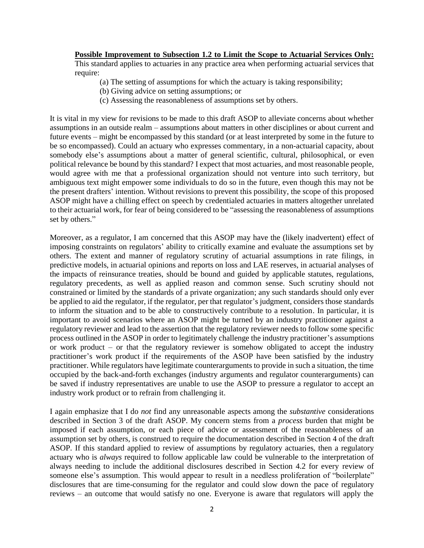## **Possible Improvement to Subsection 1.2 to Limit the Scope to Actuarial Services Only:**

This standard applies to actuaries in any practice area when performing actuarial services that require:

- (a) The setting of assumptions for which the actuary is taking responsibility;
- (b) Giving advice on setting assumptions; or
- (c) Assessing the reasonableness of assumptions set by others.

It is vital in my view for revisions to be made to this draft ASOP to alleviate concerns about whether assumptions in an outside realm – assumptions about matters in other disciplines or about current and future events – might be encompassed by this standard (or at least interpreted by some in the future to be so encompassed). Could an actuary who expresses commentary, in a non-actuarial capacity, about somebody else's assumptions about a matter of general scientific, cultural, philosophical, or even political relevance be bound by this standard? I expect that most actuaries, and most reasonable people, would agree with me that a professional organization should not venture into such territory, but ambiguous text might empower some individuals to do so in the future, even though this may not be the present drafters' intention. Without revisions to prevent this possibility, the scope of this proposed ASOP might have a chilling effect on speech by credentialed actuaries in matters altogether unrelated to their actuarial work, for fear of being considered to be "assessing the reasonableness of assumptions set by others."

Moreover, as a regulator, I am concerned that this ASOP may have the (likely inadvertent) effect of imposing constraints on regulators' ability to critically examine and evaluate the assumptions set by others. The extent and manner of regulatory scrutiny of actuarial assumptions in rate filings, in predictive models, in actuarial opinions and reports on loss and LAE reserves, in actuarial analyses of the impacts of reinsurance treaties, should be bound and guided by applicable statutes, regulations, regulatory precedents, as well as applied reason and common sense. Such scrutiny should not constrained or limited by the standards of a private organization; any such standards should only ever be applied to aid the regulator, if the regulator, per that regulator's judgment, considers those standards to inform the situation and to be able to constructively contribute to a resolution. In particular, it is important to avoid scenarios where an ASOP might be turned by an industry practitioner against a regulatory reviewer and lead to the assertion that the regulatory reviewer needs to follow some specific process outlined in the ASOP in order to legitimately challenge the industry practitioner's assumptions or work product – or that the regulatory reviewer is somehow obligated to accept the industry practitioner's work product if the requirements of the ASOP have been satisfied by the industry practitioner. While regulators have legitimate counterarguments to provide in such a situation, the time occupied by the back-and-forth exchanges (industry arguments and regulator counterarguments) can be saved if industry representatives are unable to use the ASOP to pressure a regulator to accept an industry work product or to refrain from challenging it.

I again emphasize that I do *not* find any unreasonable aspects among the *substantive* considerations described in Section 3 of the draft ASOP. My concern stems from a *process* burden that might be imposed if each assumption, or each piece of advice or assessment of the reasonableness of an assumption set by others, is construed to require the documentation described in Section 4 of the draft ASOP. If this standard applied to review of assumptions by regulatory actuaries, then a regulatory actuary who is *always* required to follow applicable law could be vulnerable to the interpretation of always needing to include the additional disclosures described in Section 4.2 for every review of someone else's assumption. This would appear to result in a needless proliferation of "boilerplate" disclosures that are time-consuming for the regulator and could slow down the pace of regulatory reviews – an outcome that would satisfy no one. Everyone is aware that regulators will apply the